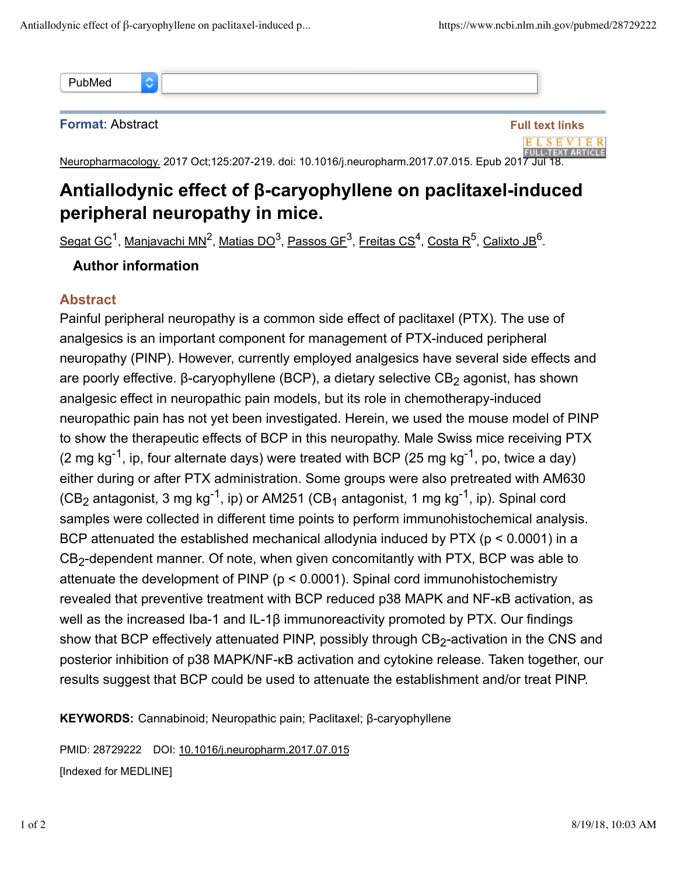õ PubMed

**Format**: Abstract



Neuropharmacology. 2017 Oct;125:207-219. doi: 10.1016/j.neuropharm.2017.07.015. Epub 2017 Jul 18.

## **Antiallodynic effect of β-caryophyllene on paclitaxel-induced peripheral neuropathy in mice.**

<u>Segat GC<sup>1</sup>, Manjavachi MN<sup>2</sup>, Matias DO<sup>3</sup>, Passos GF<sup>3</sup>, <u>Freitas CS<sup>4</sup>, Costa R<sup>5</sup>, Calixto JB</u><sup>6</sup>.</u>

## **Author information**

## **Abstract**

Painful peripheral neuropathy is a common side effect of paclitaxel (PTX). The use of analgesics is an important component for management of PTX-induced peripheral neuropathy (PINP). However, currently employed analgesics have several side effects and are poorly effective. β-caryophyllene (BCP), a dietary selective CB<sub>2</sub> agonist, has shown analgesic effect in neuropathic pain models, but its role in chemotherapy-induced neuropathic pain has not yet been investigated. Herein, we used the mouse model of PINP to show the therapeutic effects of BCP in this neuropathy. Male Swiss mice receiving PTX (2 mg kg<sup>-1</sup>, ip, four alternate days) were treated with BCP (25 mg kg<sup>-1</sup>, po, twice a day) either during or after PTX administration. Some groups were also pretreated with AM630 (CB<sub>2</sub> antagonist, 3 mg kg<sup>-1</sup>, ip) or AM251 (CB<sub>1</sub> antagonist, 1 mg kg<sup>-1</sup>, ip). Spinal cord samples were collected in different time points to perform immunohistochemical analysis. BCP attenuated the established mechanical allodynia induced by PTX ( $p < 0.0001$ ) in a  $CB_2$ -dependent manner. Of note, when given concomitantly with PTX, BCP was able to attenuate the development of PINP (p < 0.0001). Spinal cord immunohistochemistry revealed that preventive treatment with BCP reduced p38 MAPK and NF-κB activation, as well as the increased Iba-1 and IL-1β immunoreactivity promoted by PTX. Our findings show that BCP effectively attenuated PINP, possibly through  $\texttt{CB}_2$ -activation in the CNS and posterior inhibition of p38 MAPK/NF-κB activation and cytokine release. Taken together, our results suggest that BCP could be used to attenuate the establishment and/or treat PINP.

**KEYWORDS:** Cannabinoid; Neuropathic pain; Paclitaxel; β-caryophyllene

PMID: 28729222 DOI: 10.1016/j.neuropharm.2017.07.015 [Indexed for MEDLINE]